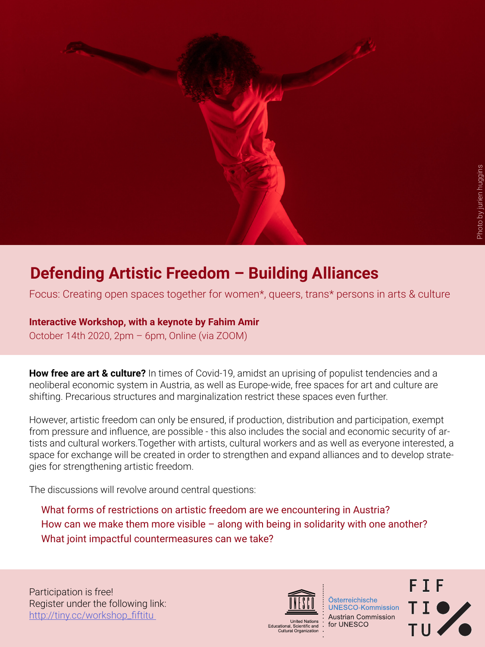

# **Defending Artistic Freedom – Building Alliances**

Focus: Creating open spaces together for women\*, queers, trans\* persons in arts & culture

### **Interactive Workshop, with a keynote by Fahim Amir**

October 14th 2020, 2pm – 6pm, Online (via ZOOM)

**How free are art & culture?** In times of Covid-19, amidst an uprising of populist tendencies and a neoliberal economic system in Austria, as well as Europe-wide, free spaces for art and culture are shifting. Precarious structures and marginalization restrict these spaces even further.

However, artistic freedom can only be ensured, if production, distribution and participation, exempt from pressure and influence, are possible - this also includes the social and economic security of artists and cultural workers.Together with artists, cultural workers and as well as everyone interested, a space for exchange will be created in order to strengthen and expand alliances and to develop strategies for strengthening artistic freedom.

The discussions will revolve around central questions:

What forms of restrictions on artistic freedom are we encountering in Austria? How can we make them more visible – along with being in solidarity with one another? What joint impactful countermeasures can we take?

Participation is free! Register under the following link: http://tiny.cc/workshop\_fiftitu



Österreichische **UNESCO-Kommission Austrian Commission** for UNESCO